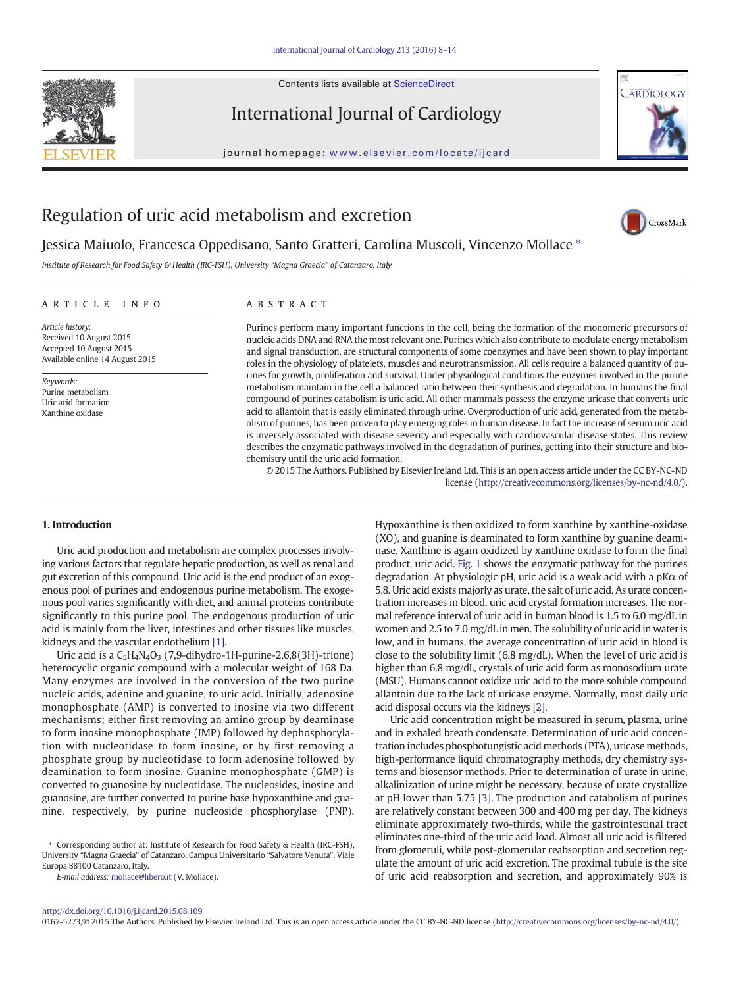Contents lists available at [ScienceDirect](http://www.sciencedirect.com/science/journal/01675273)

International Journal of Cardiology

journal homepage: <www.elsevier.com/locate/ijcard>



# Regulation of uric acid metabolism and excretion



## Jessica Maiuolo, Francesca Oppedisano, Santo Gratteri, Carolina Muscoli, Vincenzo Mollace \*

Institute of Research for Food Safety & Health (IRC-FSH), University "Magna Graecia" of Catanzaro, Italy

#### article info abstract

Article history: Received 10 August 2015 Accepted 10 August 2015 Available online 14 August 2015

Keywords: Purine metabolism Uric acid formation Xanthine oxidase

Purines perform many important functions in the cell, being the formation of the monomeric precursors of nucleic acids DNA and RNA the most relevant one. Purines which also contribute to modulate energy metabolism and signal transduction, are structural components of some coenzymes and have been shown to play important roles in the physiology of platelets, muscles and neurotransmission. All cells require a balanced quantity of purines for growth, proliferation and survival. Under physiological conditions the enzymes involved in the purine metabolism maintain in the cell a balanced ratio between their synthesis and degradation. In humans the final compound of purines catabolism is uric acid. All other mammals possess the enzyme uricase that converts uric acid to allantoin that is easily eliminated through urine. Overproduction of uric acid, generated from the metabolism of purines, has been proven to play emerging roles in human disease. In fact the increase of serum uric acid is inversely associated with disease severity and especially with cardiovascular disease states. This review describes the enzymatic pathways involved in the degradation of purines, getting into their structure and biochemistry until the uric acid formation.

© 2015 The Authors. Published by Elsevier Ireland Ltd. This is an open access article under the CC BY-NC-ND license (<http://creativecommons.org/licenses/by-nc-nd/4.0/>).

#### 1. Introduction

Uric acid production and metabolism are complex processes involving various factors that regulate hepatic production, as well as renal and gut excretion of this compound. Uric acid is the end product of an exogenous pool of purines and endogenous purine metabolism. The exogenous pool varies significantly with diet, and animal proteins contribute significantly to this purine pool. The endogenous production of uric acid is mainly from the liver, intestines and other tissues like muscles, kidneys and the vascular endothelium [\[1\].](#page-5-0)

Uric acid is a  $C_5H_4N_4O_3$  (7,9-dihydro-1H-purine-2,6,8(3H)-trione) heterocyclic organic compound with a molecular weight of 168 Da. Many enzymes are involved in the conversion of the two purine nucleic acids, adenine and guanine, to uric acid. Initially, adenosine monophosphate (AMP) is converted to inosine via two different mechanisms; either first removing an amino group by deaminase to form inosine monophosphate (IMP) followed by dephosphorylation with nucleotidase to form inosine, or by first removing a phosphate group by nucleotidase to form adenosine followed by deamination to form inosine. Guanine monophosphate (GMP) is converted to guanosine by nucleotidase. The nucleosides, inosine and guanosine, are further converted to purine base hypoxanthine and guanine, respectively, by purine nucleoside phosphorylase (PNP).

⁎ Corresponding author at: Institute of Research for Food Safety & Health (IRC-FSH), University "Magna Graecia" of Catanzaro, Campus Universitario "Salvatore Venuta", Viale Europa 88100 Catanzaro, Italy.

Hypoxanthine is then oxidized to form xanthine by xanthine-oxidase (XO), and guanine is deaminated to form xanthine by guanine deaminase. Xanthine is again oxidized by xanthine oxidase to form the final product, uric acid. [Fig. 1](#page-1-0) shows the enzymatic pathway for the purines degradation. At physiologic pH, uric acid is a weak acid with a pKα of 5.8. Uric acid exists majorly as urate, the salt of uric acid. As urate concentration increases in blood, uric acid crystal formation increases. The normal reference interval of uric acid in human blood is 1.5 to 6.0 mg/dL in women and 2.5 to 7.0 mg/dL in men. The solubility of uric acid in water is low, and in humans, the average concentration of uric acid in blood is close to the solubility limit (6.8 mg/dL). When the level of uric acid is higher than 6.8 mg/dL, crystals of uric acid form as monosodium urate (MSU). Humans cannot oxidize uric acid to the more soluble compound allantoin due to the lack of uricase enzyme. Normally, most daily uric acid disposal occurs via the kidneys [\[2\]](#page-5-0).

Uric acid concentration might be measured in serum, plasma, urine and in exhaled breath condensate. Determination of uric acid concentration includes phosphotungistic acid methods (PTA), uricase methods, high-performance liquid chromatography methods, dry chemistry systems and biosensor methods. Prior to determination of urate in urine, alkalinization of urine might be necessary, because of urate crystallize at pH lower than 5.75 [\[3\].](#page-5-0) The production and catabolism of purines are relatively constant between 300 and 400 mg per day. The kidneys eliminate approximately two-thirds, while the gastrointestinal tract eliminates one-third of the uric acid load. Almost all uric acid is filtered from glomeruli, while post-glomerular reabsorption and secretion regulate the amount of uric acid excretion. The proximal tubule is the site of uric acid reabsorption and secretion, and approximately 90% is

0167-5273/© 2015 The Authors. Published by Elsevier Ireland Ltd. This is an open access article under the CC BY-NC-ND license (<http://creativecommons.org/licenses/by-nc-nd/4.0/>).

E-mail address: [mollace@libero.it](mailto:mollace@libero.it) (V. Mollace).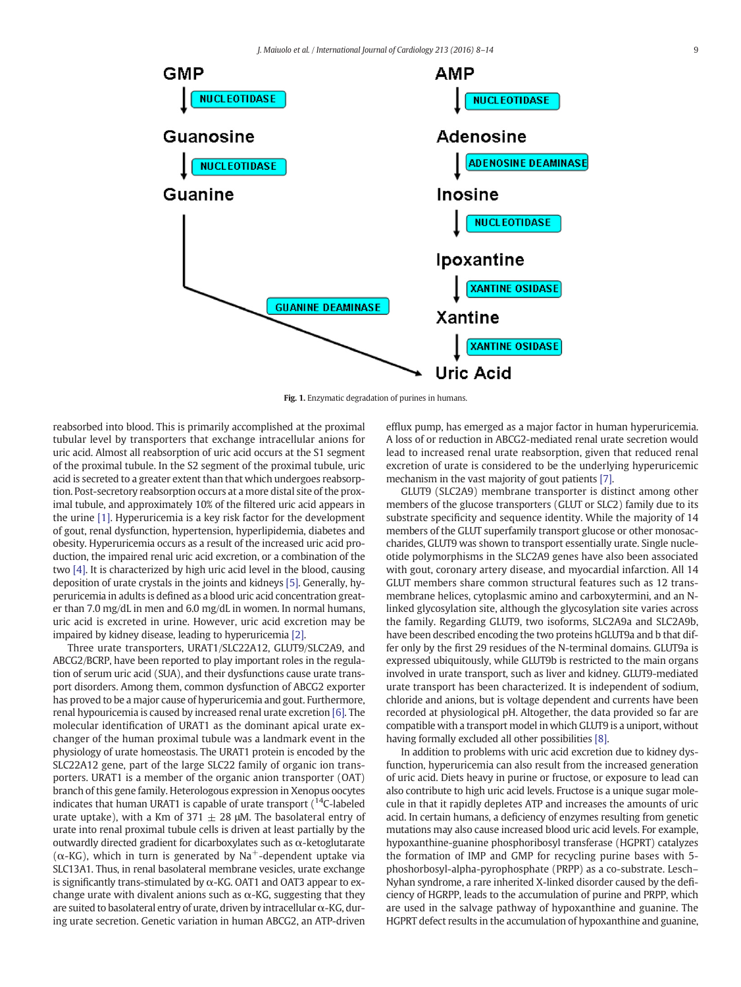<span id="page-1-0"></span>

Fig. 1. Enzymatic degradation of purines in humans.

reabsorbed into blood. This is primarily accomplished at the proximal tubular level by transporters that exchange intracellular anions for uric acid. Almost all reabsorption of uric acid occurs at the S1 segment of the proximal tubule. In the S2 segment of the proximal tubule, uric acid is secreted to a greater extent than that which undergoes reabsorption. Post-secretory reabsorption occurs at a more distal site of the proximal tubule, and approximately 10% of the filtered uric acid appears in the urine [\[1\].](#page-5-0) Hyperuricemia is a key risk factor for the development of gout, renal dysfunction, hypertension, hyperlipidemia, diabetes and obesity. Hyperuricemia occurs as a result of the increased uric acid production, the impaired renal uric acid excretion, or a combination of the two [\[4\].](#page-5-0) It is characterized by high uric acid level in the blood, causing deposition of urate crystals in the joints and kidneys [\[5\].](#page-5-0) Generally, hyperuricemia in adults is defined as a blood uric acid concentration greater than 7.0 mg/dL in men and 6.0 mg/dL in women. In normal humans, uric acid is excreted in urine. However, uric acid excretion may be impaired by kidney disease, leading to hyperuricemia [\[2\]](#page-5-0).

Three urate transporters, URAT1/SLC22A12, GLUT9/SLC2A9, and ABCG2/BCRP, have been reported to play important roles in the regulation of serum uric acid (SUA), and their dysfunctions cause urate transport disorders. Among them, common dysfunction of ABCG2 exporter has proved to be a major cause of hyperuricemia and gout. Furthermore, renal hypouricemia is caused by increased renal urate excretion [\[6\]](#page-5-0). The molecular identification of URAT1 as the dominant apical urate exchanger of the human proximal tubule was a landmark event in the physiology of urate homeostasis. The URAT1 protein is encoded by the SLC22A12 gene, part of the large SLC22 family of organic ion transporters. URAT1 is a member of the organic anion transporter (OAT) branch of this gene family. Heterologous expression in Xenopus oocytes indicates that human URAT1 is capable of urate transport  $(^{14}C$ -labeled urate uptake), with a Km of 371  $\pm$  28 µM. The basolateral entry of urate into renal proximal tubule cells is driven at least partially by the outwardly directed gradient for dicarboxylates such as α-ketoglutarate ( $\alpha$ -KG), which in turn is generated by Na<sup>+</sup>-dependent uptake via SLC13A1. Thus, in renal basolateral membrane vesicles, urate exchange is significantly trans-stimulated by  $\alpha$ -KG, OAT1 and OAT3 appear to exchange urate with divalent anions such as  $\alpha$ -KG, suggesting that they are suited to basolateral entry of urate, driven by intracellular  $\alpha$ -KG, during urate secretion. Genetic variation in human ABCG2, an ATP-driven efflux pump, has emerged as a major factor in human hyperuricemia. A loss of or reduction in ABCG2-mediated renal urate secretion would lead to increased renal urate reabsorption, given that reduced renal excretion of urate is considered to be the underlying hyperuricemic mechanism in the vast majority of gout patients [\[7\]](#page-5-0).

GLUT9 (SLC2A9) membrane transporter is distinct among other members of the glucose transporters (GLUT or SLC2) family due to its substrate specificity and sequence identity. While the majority of 14 members of the GLUT superfamily transport glucose or other monosaccharides, GLUT9 was shown to transport essentially urate. Single nucleotide polymorphisms in the SLC2A9 genes have also been associated with gout, coronary artery disease, and myocardial infarction. All 14 GLUT members share common structural features such as 12 transmembrane helices, cytoplasmic amino and carboxytermini, and an Nlinked glycosylation site, although the glycosylation site varies across the family. Regarding GLUT9, two isoforms, SLC2A9a and SLC2A9b, have been described encoding the two proteins hGLUT9a and b that differ only by the first 29 residues of the N-terminal domains. GLUT9a is expressed ubiquitously, while GLUT9b is restricted to the main organs involved in urate transport, such as liver and kidney. GLUT9-mediated urate transport has been characterized. It is independent of sodium, chloride and anions, but is voltage dependent and currents have been recorded at physiological pH. Altogether, the data provided so far are compatible with a transport model in which GLUT9 is a uniport, without having formally excluded all other possibilities [\[8\]](#page-5-0).

In addition to problems with uric acid excretion due to kidney dysfunction, hyperuricemia can also result from the increased generation of uric acid. Diets heavy in purine or fructose, or exposure to lead can also contribute to high uric acid levels. Fructose is a unique sugar molecule in that it rapidly depletes ATP and increases the amounts of uric acid. In certain humans, a deficiency of enzymes resulting from genetic mutations may also cause increased blood uric acid levels. For example, hypoxanthine-guanine phosphoribosyl transferase (HGPRT) catalyzes the formation of IMP and GMP for recycling purine bases with 5 phoshorbosyl-alpha-pyrophosphate (PRPP) as a co-substrate. Lesch– Nyhan syndrome, a rare inherited X-linked disorder caused by the deficiency of HGRPP, leads to the accumulation of purine and PRPP, which are used in the salvage pathway of hypoxanthine and guanine. The HGPRT defect results in the accumulation of hypoxanthine and guanine,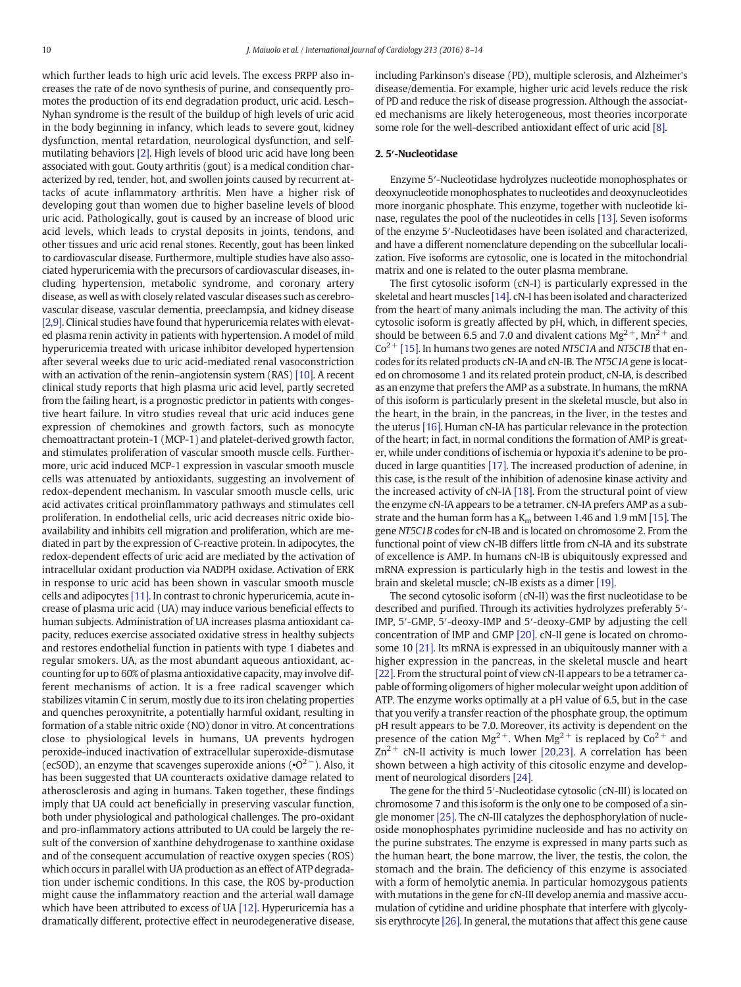which further leads to high uric acid levels. The excess PRPP also increases the rate of de novo synthesis of purine, and consequently promotes the production of its end degradation product, uric acid. Lesch– Nyhan syndrome is the result of the buildup of high levels of uric acid in the body beginning in infancy, which leads to severe gout, kidney dysfunction, mental retardation, neurological dysfunction, and selfmutilating behaviors [\[2\]](#page-5-0). High levels of blood uric acid have long been associated with gout. Gouty arthritis (gout) is a medical condition characterized by red, tender, hot, and swollen joints caused by recurrent attacks of acute inflammatory arthritis. Men have a higher risk of developing gout than women due to higher baseline levels of blood uric acid. Pathologically, gout is caused by an increase of blood uric acid levels, which leads to crystal deposits in joints, tendons, and other tissues and uric acid renal stones. Recently, gout has been linked to cardiovascular disease. Furthermore, multiple studies have also associated hyperuricemia with the precursors of cardiovascular diseases, including hypertension, metabolic syndrome, and coronary artery disease, as well as with closely related vascular diseases such as cerebrovascular disease, vascular dementia, preeclampsia, and kidney disease [\[2,9\].](#page-5-0) Clinical studies have found that hyperuricemia relates with elevated plasma renin activity in patients with hypertension. A model of mild hyperuricemia treated with uricase inhibitor developed hypertension after several weeks due to uric acid-mediated renal vasoconstriction with an activation of the renin–angiotensin system (RAS) [\[10\].](#page-5-0) A recent clinical study reports that high plasma uric acid level, partly secreted from the failing heart, is a prognostic predictor in patients with congestive heart failure. In vitro studies reveal that uric acid induces gene expression of chemokines and growth factors, such as monocyte chemoattractant protein-1 (MCP-1) and platelet-derived growth factor, and stimulates proliferation of vascular smooth muscle cells. Furthermore, uric acid induced MCP-1 expression in vascular smooth muscle cells was attenuated by antioxidants, suggesting an involvement of redox-dependent mechanism. In vascular smooth muscle cells, uric acid activates critical proinflammatory pathways and stimulates cell proliferation. In endothelial cells, uric acid decreases nitric oxide bioavailability and inhibits cell migration and proliferation, which are mediated in part by the expression of C-reactive protein. In adipocytes, the redox-dependent effects of uric acid are mediated by the activation of intracellular oxidant production via NADPH oxidase. Activation of ERK in response to uric acid has been shown in vascular smooth muscle cells and adipocytes [\[11\].](#page-5-0) In contrast to chronic hyperuricemia, acute increase of plasma uric acid (UA) may induce various beneficial effects to human subjects. Administration of UA increases plasma antioxidant capacity, reduces exercise associated oxidative stress in healthy subjects and restores endothelial function in patients with type 1 diabetes and regular smokers. UA, as the most abundant aqueous antioxidant, accounting for up to 60% of plasma antioxidative capacity, may involve different mechanisms of action. It is a free radical scavenger which stabilizes vitamin C in serum, mostly due to its iron chelating properties and quenches peroxynitrite, a potentially harmful oxidant, resulting in formation of a stable nitric oxide (NO) donor in vitro. At concentrations close to physiological levels in humans, UA prevents hydrogen peroxide-induced inactivation of extracellular superoxide-dismutase (ecSOD), an enzyme that scavenges superoxide anions  $\cdot 0^{2}$ ). Also, it has been suggested that UA counteracts oxidative damage related to atherosclerosis and aging in humans. Taken together, these findings imply that UA could act beneficially in preserving vascular function, both under physiological and pathological challenges. The pro-oxidant and pro-inflammatory actions attributed to UA could be largely the result of the conversion of xanthine dehydrogenase to xanthine oxidase and of the consequent accumulation of reactive oxygen species (ROS) which occurs in parallel with UA production as an effect of ATP degradation under ischemic conditions. In this case, the ROS by-production might cause the inflammatory reaction and the arterial wall damage which have been attributed to excess of UA [\[12\].](#page-5-0) Hyperuricemia has a

dramatically different, protective effect in neurodegenerative disease,

including Parkinson's disease (PD), multiple sclerosis, and Alzheimer's disease/dementia. For example, higher uric acid levels reduce the risk of PD and reduce the risk of disease progression. Although the associated mechanisms are likely heterogeneous, most theories incorporate some role for the well-described antioxidant effect of uric acid [\[8\].](#page-5-0)

#### 2. 5′-Nucleotidase

Enzyme 5′-Nucleotidase hydrolyzes nucleotide monophosphates or deoxynucleotide monophosphates to nucleotides and deoxynucleotides more inorganic phosphate. This enzyme, together with nucleotide kinase, regulates the pool of the nucleotides in cells [\[13\].](#page-5-0) Seven isoforms of the enzyme 5′-Nucleotidases have been isolated and characterized, and have a different nomenclature depending on the subcellular localization. Five isoforms are cytosolic, one is located in the mitochondrial matrix and one is related to the outer plasma membrane.

The first cytosolic isoform (cN-I) is particularly expressed in the skeletal and heart muscles [\[14\]](#page-5-0). cN-I has been isolated and characterized from the heart of many animals including the man. The activity of this cytosolic isoform is greatly affected by pH, which, in different species, should be between 6.5 and 7.0 and divalent cations  $Mg^{2+}$ ,  $Mn^{2+}$  and  $Co<sup>2+</sup>$  [\[15\]](#page-5-0). In humans two genes are noted NT5C1A and NT5C1B that encodes for its related products cN-IA and cN-IB. The NT5C1A gene is located on chromosome 1 and its related protein product, cN-IA, is described as an enzyme that prefers the AMP as a substrate. In humans, the mRNA of this isoform is particularly present in the skeletal muscle, but also in the heart, in the brain, in the pancreas, in the liver, in the testes and the uterus [\[16\]](#page-5-0). Human cN-IA has particular relevance in the protection of the heart; in fact, in normal conditions the formation of AMP is greater, while under conditions of ischemia or hypoxia it's adenine to be produced in large quantities [\[17\].](#page-5-0) The increased production of adenine, in this case, is the result of the inhibition of adenosine kinase activity and the increased activity of cN-IA [\[18\].](#page-5-0) From the structural point of view the enzyme cN-IA appears to be a tetramer. cN-IA prefers AMP as a substrate and the human form has a  $K_m$  between 1.46 and 1.9 mM [\[15\]](#page-5-0). The gene NT5C1B codes for cN-IB and is located on chromosome 2. From the functional point of view cN-IB differs little from cN-IA and its substrate of excellence is AMP. In humans cN-IB is ubiquitously expressed and mRNA expression is particularly high in the testis and lowest in the brain and skeletal muscle; cN-IB exists as a dimer [\[19\].](#page-5-0)

The second cytosolic isoform (cN-II) was the first nucleotidase to be described and purified. Through its activities hydrolyzes preferably 5′- IMP, 5′-GMP, 5′-deoxy-IMP and 5′-deoxy-GMP by adjusting the cell concentration of IMP and GMP [\[20\]](#page-5-0). cN-II gene is located on chromosome 10 [\[21\]](#page-5-0). Its mRNA is expressed in an ubiquitously manner with a higher expression in the pancreas, in the skeletal muscle and heart [\[22\]](#page-5-0). From the structural point of view cN-II appears to be a tetramer capable of forming oligomers of higher molecular weight upon addition of ATP. The enzyme works optimally at a pH value of 6.5, but in the case that you verify a transfer reaction of the phosphate group, the optimum pH result appears to be 7.0. Moreover, its activity is dependent on the presence of the cation  $Mg^{2+}$ . When  $Mg^{2+}$  is replaced by  $Co^{2+}$  and  $Zn^{2+}$  cN-II activity is much lower [\[20,23\].](#page-5-0) A correlation has been shown between a high activity of this citosolic enzyme and development of neurological disorders [\[24\].](#page-5-0)

The gene for the third 5′-Nucleotidase cytosolic (cN-III) is located on chromosome 7 and this isoform is the only one to be composed of a single monomer [\[25\]](#page-5-0). The cN-III catalyzes the dephosphorylation of nucleoside monophosphates pyrimidine nucleoside and has no activity on the purine substrates. The enzyme is expressed in many parts such as the human heart, the bone marrow, the liver, the testis, the colon, the stomach and the brain. The deficiency of this enzyme is associated with a form of hemolytic anemia. In particular homozygous patients with mutations in the gene for cN-III develop anemia and massive accumulation of cytidine and uridine phosphate that interfere with glycolysis erythrocyte [\[26\].](#page-5-0) In general, the mutations that affect this gene cause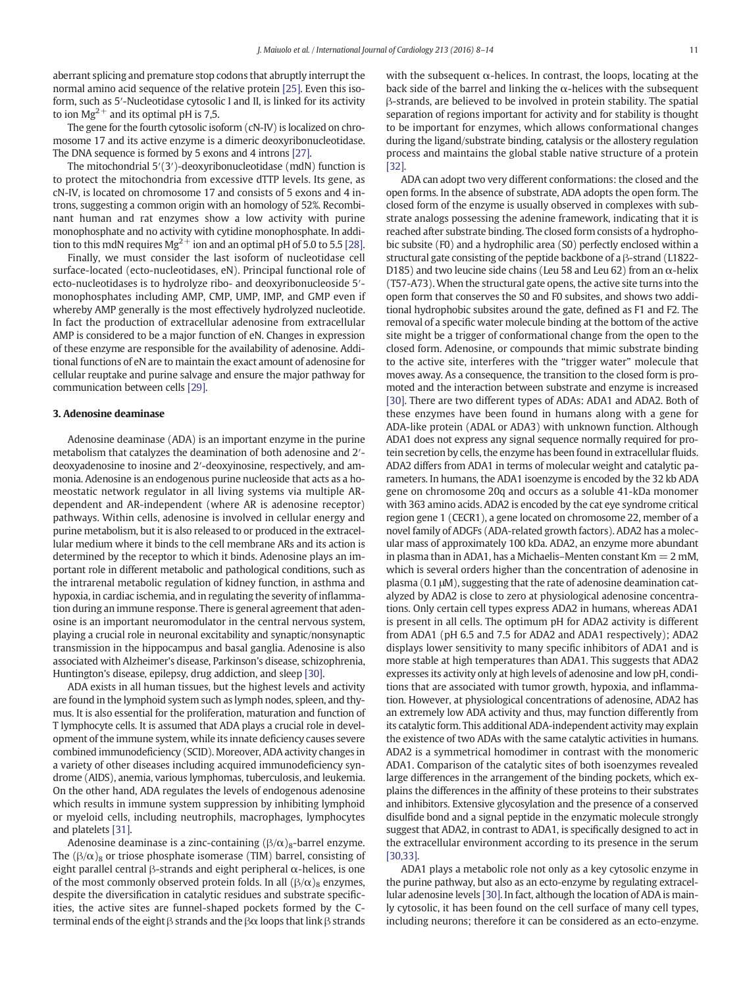aberrant splicing and premature stop codons that abruptly interrupt the normal amino acid sequence of the relative protein [\[25\]](#page-5-0). Even this isoform, such as 5′-Nucleotidase cytosolic I and II, is linked for its activity to ion  $Mg^{2+}$  and its optimal pH is 7,5.

The gene for the fourth cytosolic isoform (cN-IV) is localized on chromosome 17 and its active enzyme is a dimeric deoxyribonucleotidase. The DNA sequence is formed by 5 exons and 4 introns [\[27\].](#page-5-0)

The mitochondrial 5′(3′)-deoxyribonucleotidase (mdN) function is to protect the mitochondria from excessive dTTP levels. Its gene, as cN-IV, is located on chromosome 17 and consists of 5 exons and 4 introns, suggesting a common origin with an homology of 52%. Recombinant human and rat enzymes show a low activity with purine monophosphate and no activity with cytidine monophosphate. In addition to this mdN requires  $Mg^{2+}$  ion and an optimal pH of 5.0 to 5.5 [\[28\].](#page-6-0)

Finally, we must consider the last isoform of nucleotidase cell surface-located (ecto-nucleotidases, eN). Principal functional role of ecto-nucleotidases is to hydrolyze ribo- and deoxyribonucleoside 5′ monophosphates including AMP, CMP, UMP, IMP, and GMP even if whereby AMP generally is the most effectively hydrolyzed nucleotide. In fact the production of extracellular adenosine from extracellular AMP is considered to be a major function of eN. Changes in expression of these enzyme are responsible for the availability of adenosine. Additional functions of eN are to maintain the exact amount of adenosine for cellular reuptake and purine salvage and ensure the major pathway for communication between cells [\[29\]](#page-6-0).

#### 3. Adenosine deaminase

Adenosine deaminase (ADA) is an important enzyme in the purine metabolism that catalyzes the deamination of both adenosine and 2′ deoxyadenosine to inosine and 2′-deoxyinosine, respectively, and ammonia. Adenosine is an endogenous purine nucleoside that acts as a homeostatic network regulator in all living systems via multiple ARdependent and AR-independent (where AR is adenosine receptor) pathways. Within cells, adenosine is involved in cellular energy and purine metabolism, but it is also released to or produced in the extracellular medium where it binds to the cell membrane ARs and its action is determined by the receptor to which it binds. Adenosine plays an important role in different metabolic and pathological conditions, such as the intrarenal metabolic regulation of kidney function, in asthma and hypoxia, in cardiac ischemia, and in regulating the severity of inflammation during an immune response. There is general agreement that adenosine is an important neuromodulator in the central nervous system, playing a crucial role in neuronal excitability and synaptic/nonsynaptic transmission in the hippocampus and basal ganglia. Adenosine is also associated with Alzheimer's disease, Parkinson's disease, schizophrenia, Huntington's disease, epilepsy, drug addiction, and sleep [\[30\]](#page-6-0).

ADA exists in all human tissues, but the highest levels and activity are found in the lymphoid system such as lymph nodes, spleen, and thymus. It is also essential for the proliferation, maturation and function of T lymphocyte cells. It is assumed that ADA plays a crucial role in development of the immune system, while its innate deficiency causes severe combined immunodeficiency (SCID). Moreover, ADA activity changes in a variety of other diseases including acquired immunodeficiency syndrome (AIDS), anemia, various lymphomas, tuberculosis, and leukemia. On the other hand, ADA regulates the levels of endogenous adenosine which results in immune system suppression by inhibiting lymphoid or myeloid cells, including neutrophils, macrophages, lymphocytes and platelets [\[31\]](#page-6-0).

Adenosine deaminase is a zinc-containing  $(\beta/\alpha)_8$ -barrel enzyme. The  $(\beta/\alpha)_8$  or triose phosphate isomerase (TIM) barrel, consisting of eight parallel central  $\beta$ -strands and eight peripheral  $\alpha$ -helices, is one of the most commonly observed protein folds. In all  $(\beta/\alpha)_8$  enzymes, despite the diversification in catalytic residues and substrate specificities, the active sites are funnel-shaped pockets formed by the Cterminal ends of the eight β strands and the βα loops that link β strands

with the subsequent  $\alpha$ -helices. In contrast, the loops, locating at the back side of the barrel and linking the  $\alpha$ -helices with the subsequent β-strands, are believed to be involved in protein stability. The spatial separation of regions important for activity and for stability is thought to be important for enzymes, which allows conformational changes during the ligand/substrate binding, catalysis or the allostery regulation process and maintains the global stable native structure of a protein [\[32\].](#page-6-0)

ADA can adopt two very different conformations: the closed and the open forms. In the absence of substrate, ADA adopts the open form. The closed form of the enzyme is usually observed in complexes with substrate analogs possessing the adenine framework, indicating that it is reached after substrate binding. The closed form consists of a hydrophobic subsite (F0) and a hydrophilic area (S0) perfectly enclosed within a structural gate consisting of the peptide backbone of a β-strand (L1822- D185) and two leucine side chains (Leu 58 and Leu 62) from an  $\alpha$ -helix (T57-A73). When the structural gate opens, the active site turns into the open form that conserves the S0 and F0 subsites, and shows two additional hydrophobic subsites around the gate, defined as F1 and F2. The removal of a specific water molecule binding at the bottom of the active site might be a trigger of conformational change from the open to the closed form. Adenosine, or compounds that mimic substrate binding to the active site, interferes with the "trigger water" molecule that moves away. As a consequence, the transition to the closed form is promoted and the interaction between substrate and enzyme is increased [\[30\]](#page-6-0). There are two different types of ADAs: ADA1 and ADA2. Both of these enzymes have been found in humans along with a gene for ADA-like protein (ADAL or ADA3) with unknown function. Although ADA1 does not express any signal sequence normally required for protein secretion by cells, the enzyme has been found in extracellular fluids. ADA2 differs from ADA1 in terms of molecular weight and catalytic parameters. In humans, the ADA1 isoenzyme is encoded by the 32 kb ADA gene on chromosome 20q and occurs as a soluble 41-kDa monomer with 363 amino acids. ADA2 is encoded by the cat eye syndrome critical region gene 1 (CECR1), a gene located on chromosome 22, member of a novel family of ADGFs (ADA-related growth factors). ADA2 has a molecular mass of approximately 100 kDa. ADA2, an enzyme more abundant in plasma than in ADA1, has a Michaelis–Menten constant  $Km = 2$  mM, which is several orders higher than the concentration of adenosine in plasma (0.1 μM), suggesting that the rate of adenosine deamination catalyzed by ADA2 is close to zero at physiological adenosine concentrations. Only certain cell types express ADA2 in humans, whereas ADA1 is present in all cells. The optimum pH for ADA2 activity is different from ADA1 (pH 6.5 and 7.5 for ADA2 and ADA1 respectively); ADA2 displays lower sensitivity to many specific inhibitors of ADA1 and is more stable at high temperatures than ADA1. This suggests that ADA2 expresses its activity only at high levels of adenosine and low pH, conditions that are associated with tumor growth, hypoxia, and inflammation. However, at physiological concentrations of adenosine, ADA2 has an extremely low ADA activity and thus, may function differently from its catalytic form. This additional ADA-independent activity may explain the existence of two ADAs with the same catalytic activities in humans. ADA2 is a symmetrical homodimer in contrast with the monomeric ADA1. Comparison of the catalytic sites of both isoenzymes revealed large differences in the arrangement of the binding pockets, which explains the differences in the affinity of these proteins to their substrates and inhibitors. Extensive glycosylation and the presence of a conserved disulfide bond and a signal peptide in the enzymatic molecule strongly suggest that ADA2, in contrast to ADA1, is specifically designed to act in the extracellular environment according to its presence in the serum [\[30,33\]](#page-6-0).

ADA1 plays a metabolic role not only as a key cytosolic enzyme in the purine pathway, but also as an ecto-enzyme by regulating extracellular adenosine levels [\[30\]](#page-6-0). In fact, although the location of ADA is mainly cytosolic, it has been found on the cell surface of many cell types, including neurons; therefore it can be considered as an ecto-enzyme.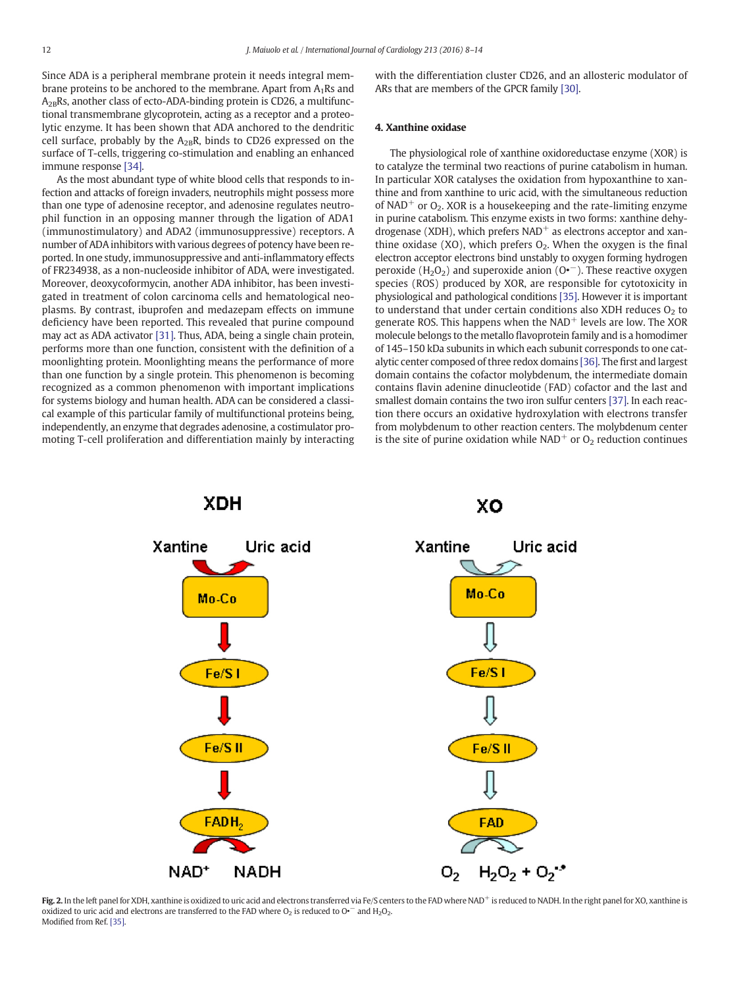<span id="page-4-0"></span>Since ADA is a peripheral membrane protein it needs integral membrane proteins to be anchored to the membrane. Apart from  $A_1Rs$  and  $A_{2B}$ Rs, another class of ecto-ADA-binding protein is CD26, a multifunctional transmembrane glycoprotein, acting as a receptor and a proteolytic enzyme. It has been shown that ADA anchored to the dendritic cell surface, probably by the  $A_{2B}R$ , binds to CD26 expressed on the surface of T-cells, triggering co-stimulation and enabling an enhanced immune response [\[34\].](#page-6-0)

As the most abundant type of white blood cells that responds to infection and attacks of foreign invaders, neutrophils might possess more than one type of adenosine receptor, and adenosine regulates neutrophil function in an opposing manner through the ligation of ADA1 (immunostimulatory) and ADA2 (immunosuppressive) receptors. A number of ADA inhibitors with various degrees of potency have been reported. In one study, immunosuppressive and anti-inflammatory effects of FR234938, as a non-nucleoside inhibitor of ADA, were investigated. Moreover, deoxycoformycin, another ADA inhibitor, has been investigated in treatment of colon carcinoma cells and hematological neoplasms. By contrast, ibuprofen and medazepam effects on immune deficiency have been reported. This revealed that purine compound may act as ADA activator [\[31\]](#page-6-0). Thus, ADA, being a single chain protein, performs more than one function, consistent with the definition of a moonlighting protein. Moonlighting means the performance of more than one function by a single protein. This phenomenon is becoming recognized as a common phenomenon with important implications for systems biology and human health. ADA can be considered a classical example of this particular family of multifunctional proteins being, independently, an enzyme that degrades adenosine, a costimulator promoting T-cell proliferation and differentiation mainly by interacting with the differentiation cluster CD26, and an allosteric modulator of ARs that are members of the GPCR family [\[30\]](#page-6-0).

#### 4. Xanthine oxidase

The physiological role of xanthine oxidoreductase enzyme (XOR) is to catalyze the terminal two reactions of purine catabolism in human. In particular XOR catalyses the oxidation from hypoxanthine to xanthine and from xanthine to uric acid, with the simultaneous reduction of NAD<sup>+</sup> or  $O_2$ . XOR is a housekeeping and the rate-limiting enzyme in purine catabolism. This enzyme exists in two forms: xanthine dehydrogenase (XDH), which prefers  $NAD<sup>+</sup>$  as electrons acceptor and xanthine oxidase (XO), which prefers  $O<sub>2</sub>$ . When the oxygen is the final electron acceptor electrons bind unstably to oxygen forming hydrogen peroxide ( $H_2O_2$ ) and superoxide anion ( $O<sup>o</sup>$ ). These reactive oxygen species (ROS) produced by XOR, are responsible for cytotoxicity in physiological and pathological conditions [\[35\]](#page-6-0). However it is important to understand that under certain conditions also XDH reduces  $O<sub>2</sub>$  to generate ROS. This happens when the  $NAD<sup>+</sup>$  levels are low. The XOR molecule belongs to the metallo flavoprotein family and is a homodimer of 145–150 kDa subunits in which each subunit corresponds to one catalytic center composed of three redox domains [\[36\].](#page-6-0) The first and largest domain contains the cofactor molybdenum, the intermediate domain contains flavin adenine dinucleotide (FAD) cofactor and the last and smallest domain contains the two iron sulfur centers [\[37\].](#page-6-0) In each reaction there occurs an oxidative hydroxylation with electrons transfer from molybdenum to other reaction centers. The molybdenum center is the site of purine oxidation while NAD<sup>+</sup> or  $O<sub>2</sub>$  reduction continues



Fig. 2. In the left panel for XDH, xanthine is oxidized to uric acid and electrons transferred via Fe/S centers to the FAD where NAD<sup>+</sup> is reduced to NADH. In the right panel for XO, xanthine is oxidized to uric acid and electrons are transferred to the FAD where  $O_2$  is reduced to  $O^{\bullet-}$  and  $H_2O_2$ . Modified from Ref. [\[35\].](#page-6-0)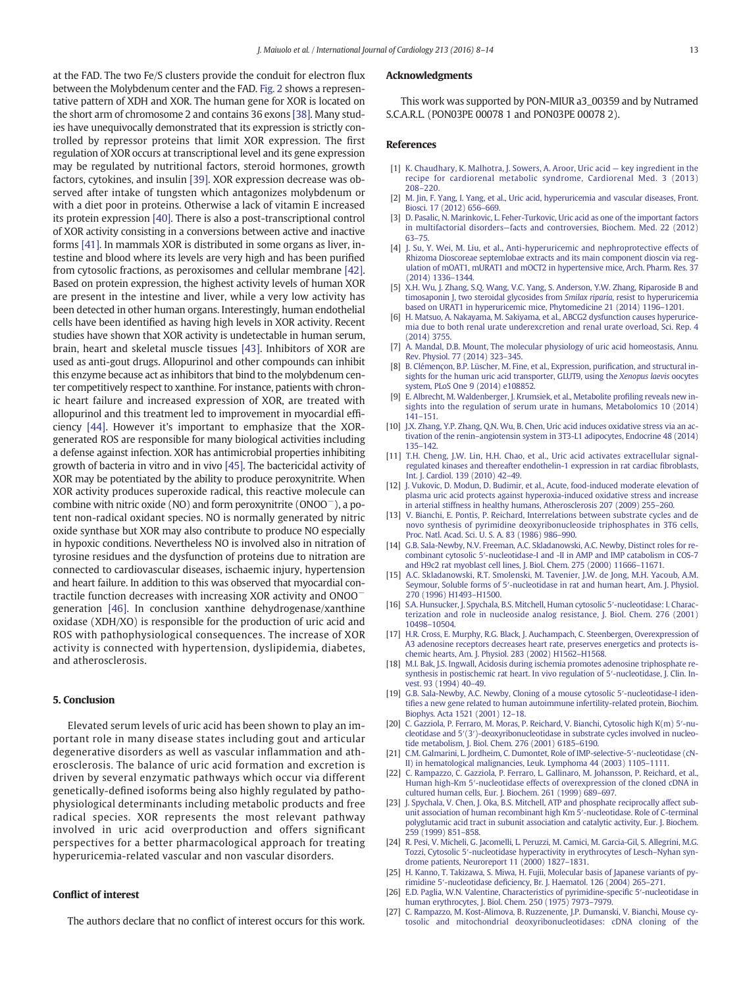<span id="page-5-0"></span>at the FAD. The two Fe/S clusters provide the conduit for electron flux between the Molybdenum center and the FAD. [Fig. 2](#page-4-0) shows a representative pattern of XDH and XOR. The human gene for XOR is located on the short arm of chromosome 2 and contains 36 exons [\[38\]](#page-6-0). Many studies have unequivocally demonstrated that its expression is strictly controlled by repressor proteins that limit XOR expression. The first regulation of XOR occurs at transcriptional level and its gene expression may be regulated by nutritional factors, steroid hormones, growth factors, cytokines, and insulin [\[39\]](#page-6-0). XOR expression decrease was observed after intake of tungsten which antagonizes molybdenum or with a diet poor in proteins. Otherwise a lack of vitamin E increased its protein expression [\[40\]](#page-6-0). There is also a post-transcriptional control of XOR activity consisting in a conversions between active and inactive forms [\[41\].](#page-6-0) In mammals XOR is distributed in some organs as liver, intestine and blood where its levels are very high and has been purified from cytosolic fractions, as peroxisomes and cellular membrane [\[42\].](#page-6-0) Based on protein expression, the highest activity levels of human XOR are present in the intestine and liver, while a very low activity has been detected in other human organs. Interestingly, human endothelial cells have been identified as having high levels in XOR activity. Recent studies have shown that XOR activity is undetectable in human serum, brain, heart and skeletal muscle tissues [\[43\]](#page-6-0). Inhibitors of XOR are used as anti-gout drugs. Allopurinol and other compounds can inhibit this enzyme because act as inhibitors that bind to the molybdenum center competitively respect to xanthine. For instance, patients with chronic heart failure and increased expression of XOR, are treated with allopurinol and this treatment led to improvement in myocardial efficiency [\[44\].](#page-6-0) However it's important to emphasize that the XORgenerated ROS are responsible for many biological activities including a defense against infection. XOR has antimicrobial properties inhibiting growth of bacteria in vitro and in vivo [\[45\]](#page-6-0). The bactericidal activity of XOR may be potentiated by the ability to produce peroxynitrite. When XOR activity produces superoxide radical, this reactive molecule can combine with nitric oxide (NO) and form peroxynitrite (ONOO−), a potent non-radical oxidant species. NO is normally generated by nitric oxide synthase but XOR may also contribute to produce NO especially in hypoxic conditions. Nevertheless NO is involved also in nitration of tyrosine residues and the dysfunction of proteins due to nitration are connected to cardiovascular diseases, ischaemic injury, hypertension and heart failure. In addition to this was observed that myocardial contractile function decreases with increasing XOR activity and ONOO<sup>−</sup> generation [\[46\].](#page-6-0) In conclusion xanthine dehydrogenase/xanthine oxidase (XDH/XO) is responsible for the production of uric acid and ROS with pathophysiological consequences. The increase of XOR activity is connected with hypertension, dyslipidemia, diabetes, and atherosclerosis.

#### 5. Conclusion

Elevated serum levels of uric acid has been shown to play an important role in many disease states including gout and articular degenerative disorders as well as vascular inflammation and atherosclerosis. The balance of uric acid formation and excretion is driven by several enzymatic pathways which occur via different genetically-defined isoforms being also highly regulated by pathophysiological determinants including metabolic products and free radical species. XOR represents the most relevant pathway involved in uric acid overproduction and offers significant perspectives for a better pharmacological approach for treating hyperuricemia-related vascular and non vascular disorders.

### Conflict of interest

The authors declare that no conflict of interest occurs for this work.

#### Acknowledgments

This work was supported by PON-MIUR a3\_00359 and by Nutramed S.C.A.R.L. (PON03PE 00078 1 and PON03PE 00078 2).

#### References

- [1] [K. Chaudhary, K. Malhotra, J. Sowers, A. Aroor, Uric acid](http://refhub.elsevier.com/S0167-5273(15)30342-9/rf0005) key ingredient in the [recipe for cardiorenal metabolic syndrome, Cardiorenal Med. 3 \(2013\)](http://refhub.elsevier.com/S0167-5273(15)30342-9/rf0005) [208](http://refhub.elsevier.com/S0167-5273(15)30342-9/rf0005)–220.
- [2] [M. Jin, F. Yang, I. Yang, et al., Uric acid, hyperuricemia and vascular diseases, Front.](http://refhub.elsevier.com/S0167-5273(15)30342-9/rf0010) [Biosci. 17 \(2012\) 656](http://refhub.elsevier.com/S0167-5273(15)30342-9/rf0010)–669.
- [3] [D. Pasalic, N. Marinkovic, L. Feher-Turkovic, Uric acid as one of the important factors](http://refhub.elsevier.com/S0167-5273(15)30342-9/rf0015) in multifactorial disorders—[facts and controversies, Biochem. Med. 22 \(2012\)](http://refhub.elsevier.com/S0167-5273(15)30342-9/rf0015) 63–[75.](http://refhub.elsevier.com/S0167-5273(15)30342-9/rf0015)
- [4] [J. Su, Y. Wei, M. Liu, et al., Anti-hyperuricemic and nephroprotective effects of](http://refhub.elsevier.com/S0167-5273(15)30342-9/rf0020) [Rhizoma Dioscoreae septemlobae extracts and its main component dioscin via reg](http://refhub.elsevier.com/S0167-5273(15)30342-9/rf0020)[ulation of mOAT1, mURAT1 and mOCT2 in hypertensive mice, Arch. Pharm. Res. 37](http://refhub.elsevier.com/S0167-5273(15)30342-9/rf0020) [\(2014\) 1336](http://refhub.elsevier.com/S0167-5273(15)30342-9/rf0020)–1344.
- [5] [X.H. Wu, J. Zhang, S.Q. Wang, V.C. Yang, S. Anderson, Y.W. Zhang, Riparoside B and](http://refhub.elsevier.com/S0167-5273(15)30342-9/rf0025) [timosaponin J, two steroidal glycosides from](http://refhub.elsevier.com/S0167-5273(15)30342-9/rf0025) Smilax riparia, resist to hyperuricemia [based on URAT1 in hyperuricemic mice, Phytomedicine 21 \(2014\) 1196](http://refhub.elsevier.com/S0167-5273(15)30342-9/rf0025)–1201.
- [6] [H. Matsuo, A. Nakayama, M. Sakiyama, et al., ABCG2 dysfunction causes hyperurice](http://refhub.elsevier.com/S0167-5273(15)30342-9/rf0030)[mia due to both renal urate underexcretion and renal urate overload, Sci. Rep. 4](http://refhub.elsevier.com/S0167-5273(15)30342-9/rf0030) [\(2014\) 3755.](http://refhub.elsevier.com/S0167-5273(15)30342-9/rf0030)
- [7] [A. Mandal, D.B. Mount, The molecular physiology of uric acid homeostasis, Annu.](http://refhub.elsevier.com/S0167-5273(15)30342-9/rf0225) [Rev. Physiol. 77 \(2014\) 323](http://refhub.elsevier.com/S0167-5273(15)30342-9/rf0225)–345.
- [8] [B. Clémençon, B.P. Lüscher, M. Fine, et al., Expression, puri](http://refhub.elsevier.com/S0167-5273(15)30342-9/rf0035)fication, and structural in[sights for the human uric acid transporter, GLUT9, using the](http://refhub.elsevier.com/S0167-5273(15)30342-9/rf0035) Xenopus laevis oocytes [system, PLoS One 9 \(2014\) e108852](http://refhub.elsevier.com/S0167-5273(15)30342-9/rf0035).
- [9] [E. Albrecht, M. Waldenberger, J. Krumsiek, et al., Metabolite pro](http://refhub.elsevier.com/S0167-5273(15)30342-9/rf0040)filing reveals new in[sights into the regulation of serum urate in humans, Metabolomics 10 \(2014\)](http://refhub.elsevier.com/S0167-5273(15)30342-9/rf0040) 141–[151.](http://refhub.elsevier.com/S0167-5273(15)30342-9/rf0040)
- [10] [J.X. Zhang, Y.P. Zhang, Q.N. Wu, B. Chen, Uric acid induces oxidative stress via an ac](http://refhub.elsevier.com/S0167-5273(15)30342-9/rf0230)tivation of the renin–[angiotensin system in 3T3-L1 adipocytes, Endocrine 48 \(2014\)](http://refhub.elsevier.com/S0167-5273(15)30342-9/rf0230) 135–[142.](http://refhub.elsevier.com/S0167-5273(15)30342-9/rf0230)
- [11] [T.H. Cheng, J.W. Lin, H.H. Chao, et al., Uric acid activates extracellular signal](http://refhub.elsevier.com/S0167-5273(15)30342-9/rf0045)[regulated kinases and thereafter endothelin-1 expression in rat cardiac](http://refhub.elsevier.com/S0167-5273(15)30342-9/rf0045) fibroblasts, [Int. J. Cardiol. 139 \(2010\) 42](http://refhub.elsevier.com/S0167-5273(15)30342-9/rf0045)–49.
- [12] [J. Vukovic, D. Modun, D. Budimir, et al., Acute, food-induced moderate elevation of](http://refhub.elsevier.com/S0167-5273(15)30342-9/rf0050) [plasma uric acid protects against hyperoxia-induced oxidative stress and increase](http://refhub.elsevier.com/S0167-5273(15)30342-9/rf0050) [in arterial stiffness in healthy humans, Atherosclerosis 207 \(2009\) 255](http://refhub.elsevier.com/S0167-5273(15)30342-9/rf0050)–260.
- [13] [V. Bianchi, E. Pontis, P. Reichard, Interrelations between substrate cycles and de](http://refhub.elsevier.com/S0167-5273(15)30342-9/rf0055) [novo synthesis of pyrimidine deoxyribonucleoside triphosphates in 3T6 cells,](http://refhub.elsevier.com/S0167-5273(15)30342-9/rf0055) [Proc. Natl. Acad. Sci. U. S. A. 83 \(1986\) 986](http://refhub.elsevier.com/S0167-5273(15)30342-9/rf0055)–990.
- [14] [G.B. Sala-Newby, N.V. Freeman, A.C. Skladanowski, A.C. Newby, Distinct roles for re](http://refhub.elsevier.com/S0167-5273(15)30342-9/rf0060)combinant cytosolic 5′[-nucleotidase-I and -II in AMP and IMP catabolism in COS-7](http://refhub.elsevier.com/S0167-5273(15)30342-9/rf0060) [and H9c2 rat myoblast cell lines, J. Biol. Chem. 275 \(2000\) 11666](http://refhub.elsevier.com/S0167-5273(15)30342-9/rf0060)–11671.
- [15] [A.C. Skladanowski, R.T. Smolenski, M. Tavenier, J.W. de Jong, M.H. Yacoub, A.M.](http://refhub.elsevier.com/S0167-5273(15)30342-9/rf0065) Seymour, Soluble forms of 5′[-nucleotidase in rat and human heart, Am. J. Physiol.](http://refhub.elsevier.com/S0167-5273(15)30342-9/rf0065) [270 \(1996\) H1493](http://refhub.elsevier.com/S0167-5273(15)30342-9/rf0065)–H1500.
- [16] [S.A. Hunsucker, J. Spychala, B.S. Mitchell, Human cytosolic 5](http://refhub.elsevier.com/S0167-5273(15)30342-9/rf0070)'-nucleotidase: I. Charac[terization and role in nucleoside analog resistance, J. Biol. Chem. 276 \(2001\)](http://refhub.elsevier.com/S0167-5273(15)30342-9/rf0070) [10498](http://refhub.elsevier.com/S0167-5273(15)30342-9/rf0070)–10504.
- [17] [H.R. Cross, E. Murphy, R.G. Black, J. Auchampach, C. Steenbergen, Overexpression of](http://refhub.elsevier.com/S0167-5273(15)30342-9/rf0075) [A3 adenosine receptors decreases heart rate, preserves energetics and protects is](http://refhub.elsevier.com/S0167-5273(15)30342-9/rf0075)[chemic hearts, Am. J. Physiol. 283 \(2002\) H1562](http://refhub.elsevier.com/S0167-5273(15)30342-9/rf0075)–H1568.
- [18] [M.I. Bak, J.S. Ingwall, Acidosis during ischemia promotes adenosine triphosphate re](http://refhub.elsevier.com/S0167-5273(15)30342-9/rf0080)[synthesis in postischemic rat heart. In vivo regulation of 5](http://refhub.elsevier.com/S0167-5273(15)30342-9/rf0080)'-nucleotidase, J. Clin. In[vest. 93 \(1994\) 40](http://refhub.elsevier.com/S0167-5273(15)30342-9/rf0080)–49.
- [19] [G.B. Sala-Newby, A.C. Newby, Cloning of a mouse cytosolic 5](http://refhub.elsevier.com/S0167-5273(15)30342-9/rf0085)'-nucleotidase-I identifi[es a new gene related to human autoimmune infertility-related protein, Biochim.](http://refhub.elsevier.com/S0167-5273(15)30342-9/rf0085) [Biophys. Acta 1521 \(2001\) 12](http://refhub.elsevier.com/S0167-5273(15)30342-9/rf0085)–18.
- [20] [C. Gazziola, P. Ferraro, M. Moras, P. Reichard, V. Bianchi, Cytosolic high K\(m\) 5](http://refhub.elsevier.com/S0167-5273(15)30342-9/rf0090)′-nucleotidase and 5′(3′[\)-deoxyribonucleotidase in substrate cycles involved in nucleo](http://refhub.elsevier.com/S0167-5273(15)30342-9/rf0090)[tide metabolism, J. Biol. Chem. 276 \(2001\) 6185](http://refhub.elsevier.com/S0167-5273(15)30342-9/rf0090)–6190.
- [21] [C.M. Galmarini, L. Jordheim, C. Dumontet, Role of IMP-selective-5](http://refhub.elsevier.com/S0167-5273(15)30342-9/rf0095)'-nucleotidase (cN-[II\) in hematological malignancies, Leuk. Lymphoma 44 \(2003\) 1105](http://refhub.elsevier.com/S0167-5273(15)30342-9/rf0095)–1111.
- [22] [C. Rampazzo, C. Gazziola, P. Ferraro, L. Gallinaro, M. Johansson, P. Reichard, et al.,](http://refhub.elsevier.com/S0167-5273(15)30342-9/rf0100) Human high-Km 5′[-nucleotidase effects of overexpression of the cloned cDNA in](http://refhub.elsevier.com/S0167-5273(15)30342-9/rf0100) [cultured human cells, Eur. J. Biochem. 261 \(1999\) 689](http://refhub.elsevier.com/S0167-5273(15)30342-9/rf0100)–697.
- [23] [J. Spychala, V. Chen, J. Oka, B.S. Mitchell, ATP and phosphate reciprocally affect sub](http://refhub.elsevier.com/S0167-5273(15)30342-9/rf0105)[unit association of human recombinant high Km 5](http://refhub.elsevier.com/S0167-5273(15)30342-9/rf0105)′-nucleotidase. Role of C-terminal [polyglutamic acid tract in subunit association and catalytic activity, Eur. J. Biochem.](http://refhub.elsevier.com/S0167-5273(15)30342-9/rf0105) [259 \(1999\) 851](http://refhub.elsevier.com/S0167-5273(15)30342-9/rf0105)–858.
- [24] [R. Pesi, V. Micheli, G. Jacomelli, L. Peruzzi, M. Camici, M. Garcia-Gil, S. Allegrini, M.G.](http://refhub.elsevier.com/S0167-5273(15)30342-9/rf0110) Tozzi, Cytosolic 5′[-nucleotidase hyperactivity in erythrocytes of Lesch](http://refhub.elsevier.com/S0167-5273(15)30342-9/rf0110)–Nyhan syn[drome patients, Neuroreport 11 \(2000\) 1827](http://refhub.elsevier.com/S0167-5273(15)30342-9/rf0110)–1831.
- [25] [H. Kanno, T. Takizawa, S. Miwa, H. Fujii, Molecular basis of Japanese variants of py](http://refhub.elsevier.com/S0167-5273(15)30342-9/rf0115)rimidine 5′-nucleotidase defi[ciency, Br. J. Haematol. 126 \(2004\) 265](http://refhub.elsevier.com/S0167-5273(15)30342-9/rf0115)–271.
- [26] [E.D. Paglia, W.N. Valentine, Characteristics of pyrimidine-speci](http://refhub.elsevier.com/S0167-5273(15)30342-9/rf0120)fic 5'-nucleotidase in [human erythrocytes, J. Biol. Chem. 250 \(1975\) 7973](http://refhub.elsevier.com/S0167-5273(15)30342-9/rf0120)–7979.
- [27] [C. Rampazzo, M. Kost-Alimova, B. Ruzzenente, J.P. Dumanski, V. Bianchi, Mouse cy](http://refhub.elsevier.com/S0167-5273(15)30342-9/rf0125)[tosolic and mitochondrial deoxyribonucleotidases: cDNA cloning of the](http://refhub.elsevier.com/S0167-5273(15)30342-9/rf0125)